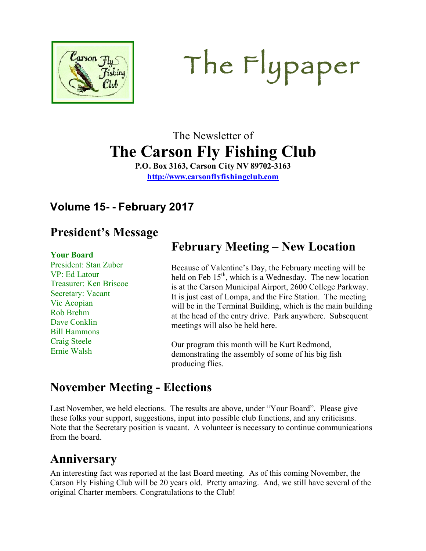

# The Flypaper

# The Newsletter of **The Carson Fly Fishing Club**

**P.O. Box 3163, Carson City NV 89702-3163 http://www.carsonflyfishingclub.com**

#### **Volume 15- - February 2017**

#### **President's Message**

#### **Your Board**

President: Stan Zuber VP: Ed Latour Treasurer: Ken Briscoe Secretary: Vacant Vic Acopian Rob Brehm Dave Conklin Bill Hammons Craig Steele Ernie Walsh

### **February Meeting – New Location**

Because of Valentine's Day, the February meeting will be held on Feb  $15<sup>th</sup>$ , which is a Wednesday. The new location is at the Carson Municipal Airport, 2600 College Parkway. It is just east of Lompa, and the Fire Station. The meeting will be in the Terminal Building, which is the main building at the head of the entry drive. Park anywhere. Subsequent meetings will also be held here.

Our program this month will be Kurt Redmond, demonstrating the assembly of some of his big fish producing flies.

#### **November Meeting - Elections**

Last November, we held elections. The results are above, under "Your Board". Please give these folks your support, suggestions, input into possible club functions, and any criticisms. Note that the Secretary position is vacant. A volunteer is necessary to continue communications from the board.

#### **Anniversary**

An interesting fact was reported at the last Board meeting. As of this coming November, the Carson Fly Fishing Club will be 20 years old. Pretty amazing. And, we still have several of the original Charter members. Congratulations to the Club!